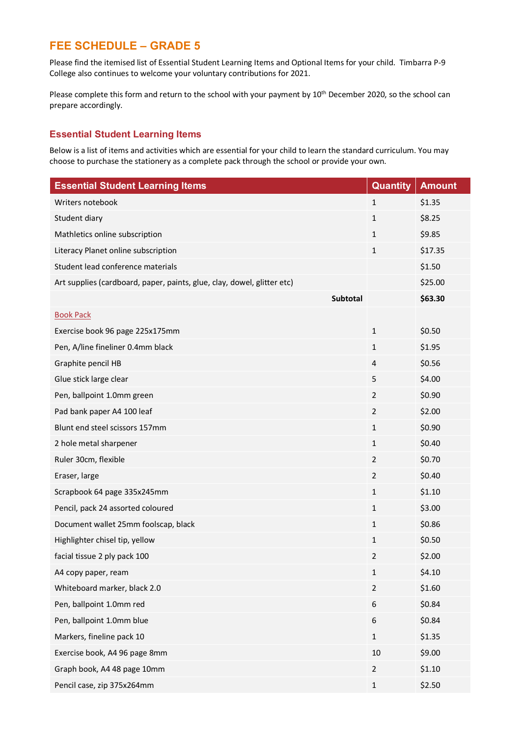# **FEE SCHEDULE – GRADE 5**

Please find the itemised list of Essential Student Learning Items and Optional Items for your child. Timbarra P-9 College also continues to welcome your voluntary contributions for 2021.

Please complete this form and return to the school with your payment by 10<sup>th</sup> December 2020, so the school can prepare accordingly.

#### **Essential Student Learning Items**

Below is a list of items and activities which are essential for your child to learn the standard curriculum. You may choose to purchase the stationery as a complete pack through the school or provide your own.

| <b>Essential Student Learning Items</b>                                 | <b>Quantity</b> | <b>Amount</b> |
|-------------------------------------------------------------------------|-----------------|---------------|
| Writers notebook                                                        | $\mathbf{1}$    | \$1.35        |
| Student diary                                                           | 1               | \$8.25        |
| Mathletics online subscription                                          | $\mathbf{1}$    | \$9.85        |
| Literacy Planet online subscription                                     | 1               | \$17.35       |
| Student lead conference materials                                       |                 | \$1.50        |
| Art supplies (cardboard, paper, paints, glue, clay, dowel, glitter etc) |                 | \$25.00       |
| <b>Subtotal</b>                                                         |                 | \$63.30       |
| <b>Book Pack</b>                                                        |                 |               |
| Exercise book 96 page 225x175mm                                         | $\mathbf{1}$    | \$0.50        |
| Pen, A/line fineliner 0.4mm black                                       | 1               | \$1.95        |
| Graphite pencil HB                                                      | $\overline{4}$  | \$0.56        |
| Glue stick large clear                                                  | 5               | \$4.00        |
| Pen, ballpoint 1.0mm green                                              | $\overline{2}$  | \$0.90        |
| Pad bank paper A4 100 leaf                                              | 2               | \$2.00        |
| Blunt end steel scissors 157mm                                          | $\mathbf{1}$    | \$0.90        |
| 2 hole metal sharpener                                                  | $\mathbf{1}$    | \$0.40        |
| Ruler 30cm, flexible                                                    | $\overline{2}$  | \$0.70        |
| Eraser, large                                                           | $\overline{2}$  | \$0.40        |
| Scrapbook 64 page 335x245mm                                             | 1               | \$1.10        |
| Pencil, pack 24 assorted coloured                                       | $\mathbf{1}$    | \$3.00        |
| Document wallet 25mm foolscap, black                                    | 1               | \$0.86        |
| Highlighter chisel tip, yellow                                          | $\mathbf{1}$    | \$0.50        |
| facial tissue 2 ply pack 100                                            | $\overline{2}$  | \$2.00        |
| A4 copy paper, ream                                                     | $\mathbf{1}$    | \$4.10        |
| Whiteboard marker, black 2.0                                            | $\overline{2}$  | \$1.60        |
| Pen, ballpoint 1.0mm red                                                | 6               | \$0.84        |
| Pen, ballpoint 1.0mm blue                                               | 6               | \$0.84        |
| Markers, fineline pack 10                                               | $\mathbf{1}$    | \$1.35        |
| Exercise book, A4 96 page 8mm                                           | 10              | \$9.00        |
| Graph book, A4 48 page 10mm                                             | $\overline{2}$  | \$1.10        |
| Pencil case, zip 375x264mm                                              | $\mathbf{1}$    | \$2.50        |